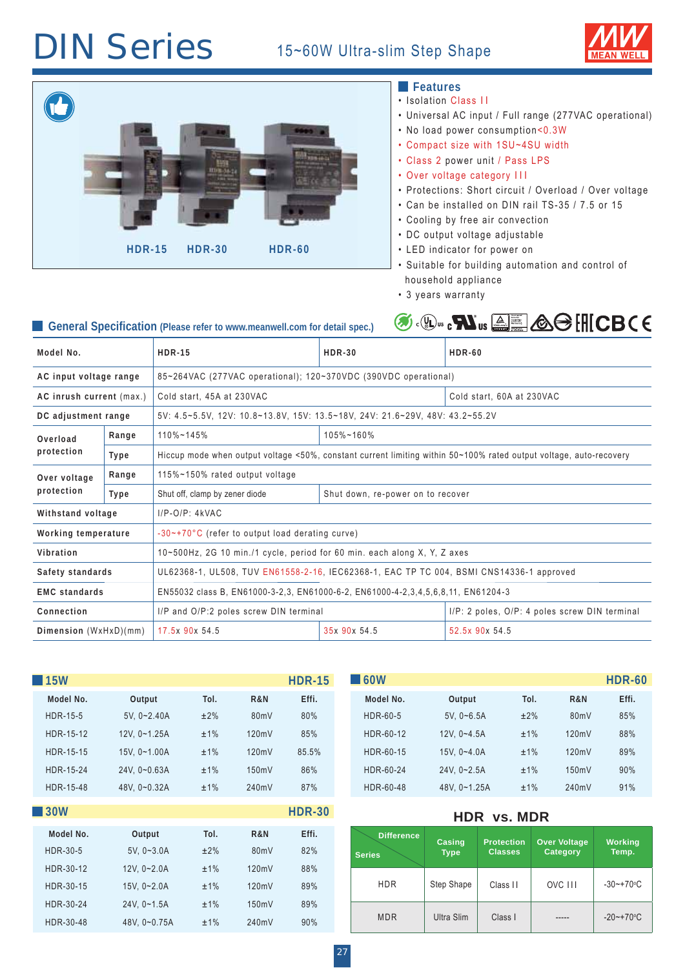## **DIN Series** 15~60W Ultra-slim Step Shape





| <b>15W</b>      |               |            |                | <b>HDR-15</b>        |  | $\blacksquare$ 60W |                       |                                     |                                 | <b>HDR-60</b>           |
|-----------------|---------------|------------|----------------|----------------------|--|--------------------|-----------------------|-------------------------------------|---------------------------------|-------------------------|
| Model No.       | Output        | Tol.       | <b>R&amp;N</b> | Effi.                |  | Model No.          | Output                | Tol.<br><b>R&amp;N</b>              |                                 | Effi.                   |
| <b>HDR-15-5</b> | $5V, 0-2.40A$ | ±2%        | 80mV           | 80%                  |  | HDR-60-5           | $5V. 0 - 6.5A$        | ±2%                                 | 80mV                            | 85%                     |
| HDR-15-12       | 12V, 0~1.25A  | ±1%        | 120mV          | 85%                  |  | HDR-60-12          | $12V, 0 - 4.5A$       | ±1%                                 | 120mV                           | 88%                     |
| HDR-15-15       | 15V, 0~1.00A  | ±1%        | 120mV          | 85.5%                |  | HDR-60-15          | 15V, 0~4.0A           |                                     | ±1%<br>120mV                    | 89%                     |
| HDR-15-24       | 24V, 0~0.63A  | ±1%        | 150mV          | 86%                  |  | HDR-60-24          | 24V, 0~2.5A           | ±1%                                 | 150mV                           | 90%                     |
| HDR-15-48       | 48V, 0~0.32A  | ±1%        | 240mV          | 87%                  |  | HDR-60-48          | 48V, 0~1.25A          | ±1%                                 | 240mV                           | 91%                     |
| <b>30W</b>      |               |            |                | <b>HDR-30</b>        |  |                    |                       |                                     |                                 |                         |
| Model No.       | Output        | Tol.       | R&N            | Effi.                |  | <b>Difference</b>  |                       |                                     |                                 | <b>Working</b><br>Temp. |
| <b>HDR-30-5</b> | $5V, 0-3.0A$  | ±2%        | 80mV           | 82%                  |  | <b>Series</b>      | Casing<br><b>Type</b> | <b>Protection</b><br><b>Classes</b> | <b>Over Voltage</b><br>Category |                         |
| HDR-30-12       | $12V, 0-2.0A$ | ±1%        | 120mV          | 88%                  |  |                    |                       |                                     |                                 |                         |
| HDR-30-15       | 15V, 0~2.0A   | ±1%        | 120mV          | 89%                  |  | <b>HDR</b>         | Step Shape            | Class II                            | OVC III                         | $-30$ ~+70°C            |
| HDR-30-24       | 24V, 0~1.5A   | ±1%        | 150mV          | 89%                  |  |                    |                       |                                     |                                 |                         |
| 117772222       |               | $\sqrt{2}$ | $\sim$         | $\sum_{i=1}^{n} a_i$ |  | <b>MDR</b>         | Ultra Slim            | Class I                             | -----                           | $-20$ ~ + 70 ° C        |

HDR-30-48 48V, 0~0.75A ±1% 240mV 90%